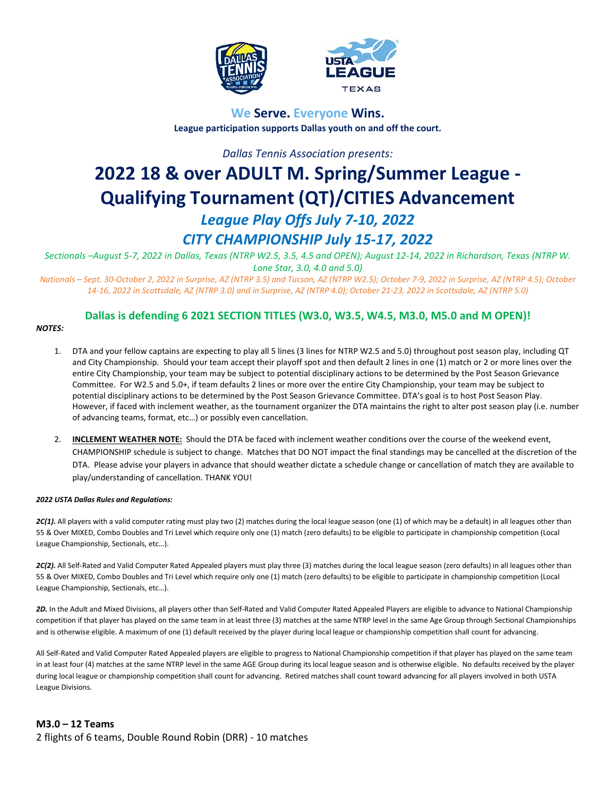



# **We Serve. Everyone Wins. League participation supports Dallas youth on and off the court.**

*Dallas Tennis Association presents:*

# **2022 18 & over ADULT M. Spring/Summer League - Qualifying Tournament (QT)/CITIES Advancement** *League Play Offs July 7-10, 2022 CITY CHAMPIONSHIP July 15-17, 2022*

*Sectionals –August 5-7, 2022 in Dallas, Texas (NTRP W2.5, 3.5, 4.5 and OPEN); August 12-14, 2022 in Richardson, Texas (NTRP W. Lone Star, 3.0, 4.0 and 5.0)*

*Nationals – Sept. 30-October 2, 2022 in Surprise, AZ (NTRP 3.5) and Tucson, AZ (NTRP W2.5); October 7-9, 2022 in Surprise, AZ (NTRP 4.5); October 14-16, 2022 in Scottsdale, AZ (NTRP 3.0) and in Surprise, AZ (NTRP 4.0); October 21-23, 2022 in Scottsdale, AZ (NTRP 5.0)*

# **Dallas is defending 6 2021 SECTION TITLES (W3.0, W3.5, W4.5, M3.0, M5.0 and M OPEN)!**

#### *NOTES:*

- 1. DTA and your fellow captains are expecting to play all 5 lines (3 lines for NTRP W2.5 and 5.0) throughout post season play, including QT and City Championship. Should your team accept their playoff spot and then default 2 lines in one (1) match or 2 or more lines over the entire City Championship, your team may be subject to potential disciplinary actions to be determined by the Post Season Grievance Committee. For W2.5 and 5.0+, if team defaults 2 lines or more over the entire City Championship, your team may be subject to potential disciplinary actions to be determined by the Post Season Grievance Committee. DTA's goal is to host Post Season Play. However, if faced with inclement weather, as the tournament organizer the DTA maintains the right to alter post season play (i.e. number of advancing teams, format, etc…) or possibly even cancellation.
- 2. **INCLEMENT WEATHER NOTE:** Should the DTA be faced with inclement weather conditions over the course of the weekend event, CHAMPIONSHIP schedule is subject to change. Matches that DO NOT impact the final standings may be cancelled at the discretion of the DTA. Please advise your players in advance that should weather dictate a schedule change or cancellation of match they are available to play/understanding of cancellation. THANK YOU!

#### *2022 USTA Dallas Rules and Regulations:*

2C(1). All players with a valid computer rating must play two (2) matches during the local league season (one (1) of which may be a default) in all leagues other than 55 & Over MIXED, Combo Doubles and Tri Level which require only one (1) match (zero defaults) to be eligible to participate in championship competition (Local League Championship, Sectionals, etc…).

2C(2). All Self-Rated and Valid Computer Rated Appealed players must play three (3) matches during the local league season (zero defaults) in all leagues other than 55 & Over MIXED, Combo Doubles and Tri Level which require only one (1) match (zero defaults) to be eligible to participate in championship competition (Local League Championship, Sectionals, etc…).

2D. In the Adult and Mixed Divisions, all players other than Self-Rated and Valid Computer Rated Appealed Players are eligible to advance to National Championship competition if that player has played on the same team in at least three (3) matches at the same NTRP level in the same Age Group through Sectional Championships and is otherwise eligible. A maximum of one (1) default received by the player during local league or championship competition shall count for advancing.

All Self-Rated and Valid Computer Rated Appealed players are eligible to progress to National Championship competition if that player has played on the same team in at least four (4) matches at the same NTRP level in the same AGE Group during its local league season and is otherwise eligible. No defaults received by the player during local league or championship competition shall count for advancing. Retired matches shall count toward advancing for all players involved in both USTA League Divisions.

# **M3.0 – 12 Teams** 2 flights of 6 teams, Double Round Robin (DRR) - 10 matches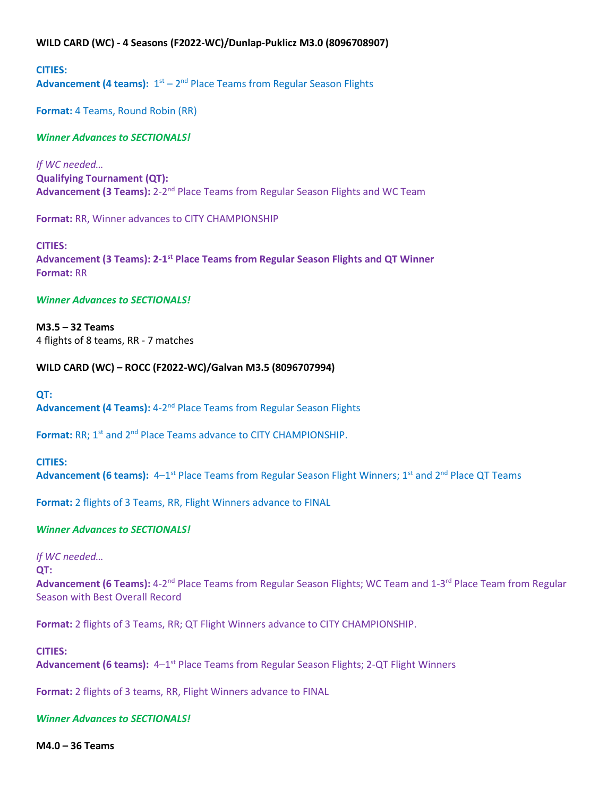# **WILD CARD (WC) - 4 Seasons (F2022-WC)/Dunlap-Puklicz M3.0 (8096708907)**

**CITIES:** Advancement (4 teams):  $1<sup>st</sup> - 2<sup>nd</sup>$  Place Teams from Regular Season Flights

**Format:** 4 Teams, Round Robin (RR)

# *Winner Advances to SECTIONALS!*

*If WC needed…* **Qualifying Tournament (QT): Advancement (3 Teams):** 2-2<sup>nd</sup> Place Teams from Regular Season Flights and WC Team

**Format:** RR, Winner advances to CITY CHAMPIONSHIP

**CITIES: Advancement (3 Teams): 2-1st Place Teams from Regular Season Flights and QT Winner Format:** RR

#### *Winner Advances to SECTIONALS!*

**M3.5 – 32 Teams** 4 flights of 8 teams, RR - 7 matches

#### **WILD CARD (WC) – ROCC (F2022-WC)/Galvan M3.5 (8096707994)**

#### **QT:**

**Advancement (4 Teams):** 4-2nd Place Teams from Regular Season Flights

Format: RR; 1<sup>st</sup> and 2<sup>nd</sup> Place Teams advance to CITY CHAMPIONSHIP.

#### **CITIES:**

Advancement (6 teams): 4-1<sup>st</sup> Place Teams from Regular Season Flight Winners; 1<sup>st</sup> and 2<sup>nd</sup> Place QT Teams

**Format:** 2 flights of 3 Teams, RR, Flight Winners advance to FINAL

#### *Winner Advances to SECTIONALS!*

#### *If WC needed…*

#### **QT:**

**Advancement (6 Teams):** 4-2nd Place Teams from Regular Season Flights; WC Team and 1-3rd Place Team from Regular Season with Best Overall Record

**Format:** 2 flights of 3 Teams, RR; QT Flight Winners advance to CITY CHAMPIONSHIP.

#### **CITIES:**

Advancement (6 teams): 4–1<sup>st</sup> Place Teams from Regular Season Flights; 2-QT Flight Winners

**Format:** 2 flights of 3 teams, RR, Flight Winners advance to FINAL

#### *Winner Advances to SECTIONALS!*

**M4.0 – 36 Teams**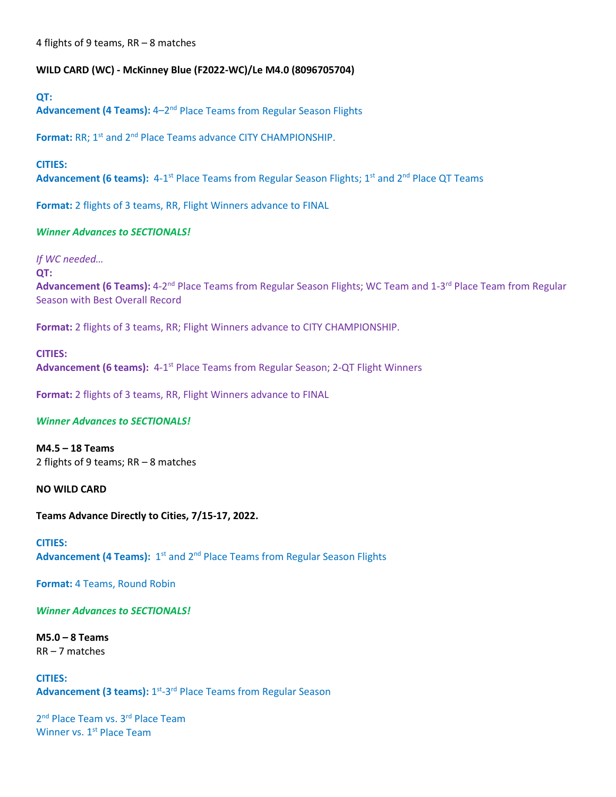4 flights of 9 teams, RR – 8 matches

# **WILD CARD (WC) - McKinney Blue (F2022-WC)/Le M4.0 (8096705704)**

#### **QT:**

**Advancement (4 Teams):** 4–2nd Place Teams from Regular Season Flights

Format: RR; 1<sup>st</sup> and 2<sup>nd</sup> Place Teams advance CITY CHAMPIONSHIP.

#### **CITIES:**

Advancement (6 teams): 4-1<sup>st</sup> Place Teams from Regular Season Flights; 1<sup>st</sup> and 2<sup>nd</sup> Place QT Teams

**Format:** 2 flights of 3 teams, RR, Flight Winners advance to FINAL

# *Winner Advances to SECTIONALS!*

*If WC needed…*

**QT:**

Advancement (6 Teams): 4-2<sup>nd</sup> Place Teams from Regular Season Flights; WC Team and 1-3<sup>rd</sup> Place Team from Regular Season with Best Overall Record

**Format:** 2 flights of 3 teams, RR; Flight Winners advance to CITY CHAMPIONSHIP.

# **CITIES:**

**Advancement (6 teams):** 4-1st Place Teams from Regular Season; 2-QT Flight Winners

**Format:** 2 flights of 3 teams, RR, Flight Winners advance to FINAL

#### *Winner Advances to SECTIONALS!*

**M4.5 – 18 Teams** 2 flights of 9 teams; RR – 8 matches

**NO WILD CARD**

**Teams Advance Directly to Cities, 7/15-17, 2022.**

**CITIES:** Advancement (4 Teams): 1<sup>st</sup> and 2<sup>nd</sup> Place Teams from Regular Season Flights

**Format:** 4 Teams, Round Robin

*Winner Advances to SECTIONALS!*

**M5.0 – 8 Teams**  RR – 7 matches

**CITIES:** Advancement (3 teams): 1<sup>st</sup>-3<sup>rd</sup> Place Teams from Regular Season

2<sup>nd</sup> Place Team vs. 3<sup>rd</sup> Place Team Winner vs. 1<sup>st</sup> Place Team